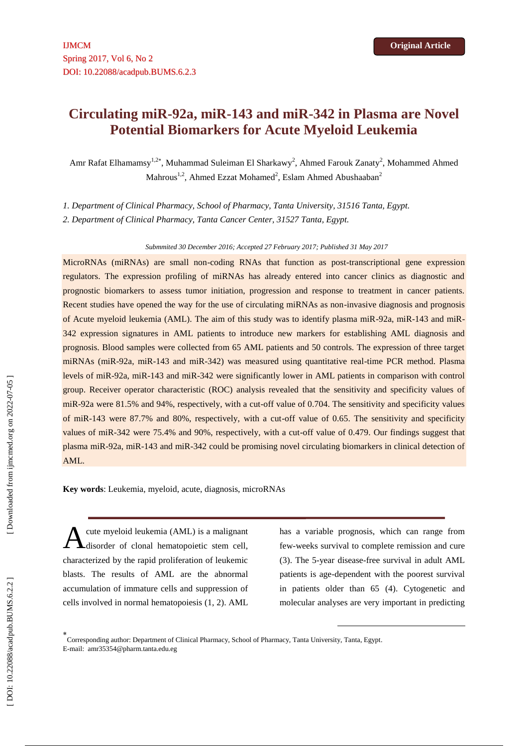# **Circulating miR -92a, miR -143 and miR -342 in Plasma are Novel Potential Biomarkers for Acute Myeloid Leukemia**

Amr Rafat Elhamamsy<sup>1,2\*</sup>, Muhammad Suleiman El Sharkawy<sup>2</sup>, Ahmed Farouk Zanaty<sup>2</sup>, Mohammed Ahmed Mahrous<sup>1,2</sup>, Ahmed Ezzat Mohamed<sup>2</sup>, Eslam Ahmed Abushaaban<sup>2</sup>

*1. Department of Clinical Pharmacy, School of Pharmacy, Tanta University, 31516 Tanta, Egypt.*

*2. Department of Clinical Pharmacy, Tanta Cancer Center, 31527 Tanta, Egypt.*

*Submmited 30 December 2016; Accepted 27 February 2017; Published 31 May 2017*

MicroRNAs (miRNAs) are small non -coding RNAs that function as post -transcriptional gene expression regulators. The expression profiling of miRNAs has already entered into cancer clinics as diagnostic and prognostic biomarkers to assess tumor initiation, progression and response to treatment in cancer patients. Recent studies have opened the way for the use of circulating miRNAs as non-invasive diagnosis and prognosis of Acute myeloid leukemia (AML). The aim of this study was to identify plasma miR-92a, miR-143 and miR-342 expression signatures in AML patients to introduce new markers for establishing AML diagnosis and prognosis. Blood samples were collected from 65 AML patients and 50 controls. The expression of three target miRNAs (miR-92a, miR-143 and miR-342) was measured using quantitative real-time PCR method. Plasma levels of miR-92a, miR-143 and miR-342 were significantly lower in AML patients in comparison with control group. Receiver operator characteristic (ROC) analysis revealed that the sensitivity and specificity values of miR -92a were 81.5% and 94%, respectively, with a cut -off value of 0.704. The sensitivity and specificity values of miR -143 were 87.7% and 80%, respectively, with a cut -off value of 0.65. The sensitivity and specificity values of miR-342 were 75.4% and 90%, respectively, with a cut-off value of 0.479. Our findings suggest that plasma miR-92a, miR-143 and miR-342 could be promising novel circulating biomarkers in clinical detection of AML.

**Key words** : Leukemia, myeloid, acute, diagnosis, microRNAs

cute myeloid leukemia (AML) is a malignant disorder of clonal hematopoietic stem cell, characterized by the rapid proliferation of leukemic blasts. The results of AML are the abnormal accumulation of immature cells and suppression of cells involved in normal hematopoiesis (1, 2). AML A

has a variable prognosis, which can range from few -weeks survival to complete remission and cure (3). The 5 -year disease -free survival in adult AML patients is age -dependent with the poorest survival in patients older than 65 (4). Cytogenetic and molecular analyses are very important in predicting

1

<sup>\*&</sup>lt;br>Corresponding author: Department of Clinical Pharmacy, School of Pharmacy, Tanta University, Tanta, Egypt. E -mail: [amr35354@pharm.tanta.edu.eg](mailto:amr35354@pharm.tanta.edu.eg)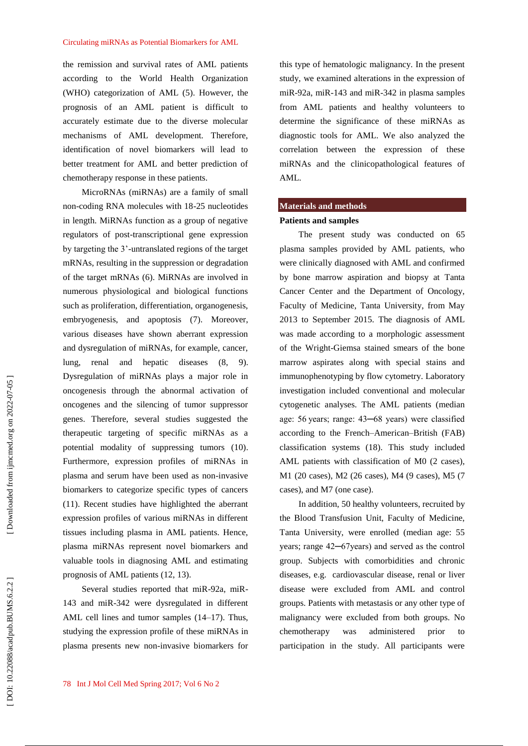the remission and survival rates of AML patients according to the World Health Organization (WHO) categorization of AML (5). However, the prognosis of an AML patient is difficult to accurately estimate due to the diverse molecular mechanisms of AML development. Therefore, identification of novel biomarkers will lead to better treatment for AML and better prediction of chemotherapy response in these patients.

MicroRNAs (miRNAs) are a family of small non -coding RNA molecules with 18 -25 nucleotides in length. MiRNAs function as a group of negative regulators of post -transcriptional gene expression by targeting the 3' -untranslated regions of the target mRNAs, resulting in the suppression or degradation of the target mRNAs (6). MiRNAs are involved in numerous physiological and biological functions such as proliferation, differentiation, organogenesis, embryogenesis, and apoptosis (7). Moreover, various diseases have shown aberrant expression and dysregulation of miRNAs, for example, cancer, lung, renal and hepatic diseases (8, 9). Dysregulation of miRNAs plays a major role in oncogenesis through the abnormal activation of oncogenes and the silencing of tumor suppressor genes. Therefore, several studies suggested the therapeutic targeting of specific miRNAs as a potential modality of suppressing tumors (10). Furthermo re, expression profiles of miRNAs in plasma and serum have been used as non -invasive biomarkers to categorize specific types of cancers (11). Recent studies have highlighted the aberrant expression profiles of various miRNAs in different tissues including plasma in AML patients. Hence, plasma miRNAs represent novel biomarkers and valuable tools in diagnosing AML and estimating prognosis of AML patients (12, 13) .

Several studies reported that miR-92a, miR-143 and miR -342 were dysregulated in different AML cell lines and tumor samples (14 –17). Thus, studying the expression profile of these miRNAs in plasma presents new non -invasive biomarkers for this type of hematologic malignancy. In the present study, we examined alterations in the expression of miR-92a, miR-143 and miR-342 in plasma samples from AML patients and healthy volunteers to determine the significance of these miRNAs as diagnostic tools for AML. We also analyzed the correlation between the expression of these miRNAs and the clinicopathological features of AML.

### **Materials and methods**

### **Patients and samples**

The present study was conducted on 65 plasma samples provided by AML patients, who were clinically diagnosed with AML and confirmed by bone marrow aspiration and biopsy at Tanta Cancer Center and the Department of Oncology, Faculty of Medicine, Tanta University, from May 2013 to September 2015. The diagnosis of AML was made according to a morphologic assessment of the Wright -Giemsa stained smears of the bone marrow aspirates along with special stains and immunophenotyping by flow cytometry. Laboratory investigation included conventional and molecular cytogenetic analyses. The AML patients (median age: 56 years; range: 43─68 years) were classified according to the French –American –British (FAB) classification systems (18). This study included AML patients with classification of M0 (2 cases), M1 (20 cases), M2 (26 cases), M4 (9 cases), M5 (7 cases), and M7 (one case).

In addition, 50 healthy volunteers, recruited by the Blood Transfusion Unit, Faculty of Medicine, Tanta University, were enrolled (median age: 55 years; range 42─67years) and served as the control group. Subjects with comorbidities and chronic diseases, e.g. cardiovascular disease, renal or liver disease were excluded from AML and control groups. Patients with metastasis or any other type of malignancy were excluded from both groups. No chemotherapy was administered prior to participation in the study. All participants were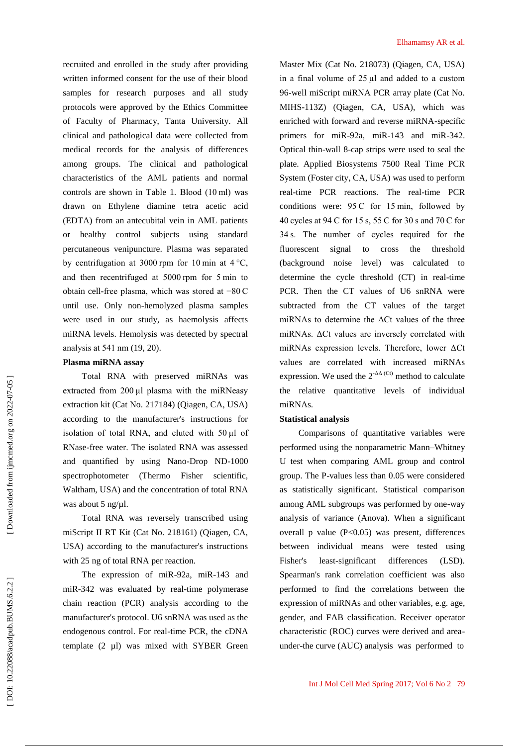recruited and enrolled in the study after providing written informed consent for the use of their blood samples for research purposes and all study protocols were approved by the Ethics Committee of Faculty of Pharmacy, Tanta University. All clinical and pathological data were collected from medical records for the analysis of differences among groups. The clinical and pathological characteristics of the AML patients and normal controls are shown in Table 1. Blood (10 ml) was drawn on Ethylene diamine tetra acetic acid (EDTA) from an antecubital vein in AML patients or healthy control subjects using standard percutaneous venipuncture. Plasma was separated by centrifugation at 3000 rpm for 10 min at  $4^{\circ}$ C, and then recentrifuged at 5000 rpm for 5 min to obtain cell -free plasma, which was stored at −80 C until use. Only non -hemoly zed plasma samples were used in our study, as haemolysis affects miRNA levels. Hemolysis was detected by spectral analysis at 541 nm (19, 20) .

## **Plasma miRNA assay**

Total RNA with preserved miRNAs was extracted from 200 µl plasma with the miRNeasy extraction kit (Cat No. 217184) (Qiagen, CA, USA) according to the manufacturer's instructions for isolation of total RNA, and eluted with 50 µl of RNase -free water. The isolated RNA was assessed and quantified by using Nano -Drop ND -1000 spectrophotometer (Thermo Fisher scientific, Waltham, USA) and the concentration of total RNA was about 5 ng/µl.

Total RNA was reversely transcribed using miScript II RT Kit (Cat No. 218161) (Qiagen, CA, USA) according to the manufacturer's instructions with 25 ng of total RNA per reaction.

The expression of miR-92a, miR-143 and miR-342 was evaluated by real-time polymerase chain reaction (PCR) analysis according to the manufacturer's protocol. U6 snRNA was used as the endogenous control. For real-time PCR, the cDNA template (2 µl) was mixed with SYBER Green

Master Mix (Cat No. 218073) (Qiagen, CA, USA) in a final volume of  $25 \mu l$  and added to a custom 96 -well miScript miRNA PCR array plate (Cat No. MIHS -113Z) (Qiagen, CA, USA), which was enriched with forward and reverse miRNA -specific primers for miR-92a, miR-143 and miR-342. Optical thin -wall 8 -cap strips were used to seal the plate. Applied Biosystems 7500 Real Time PCR System (Foster city, CA, USA) was used to perform real -time PCR reactions. The real -time PCR conditions were: 95 C for 15 min, followed by 40 cycles at 94 C for 15 s, 55 C for 30 s and 70 C for 34 s. The number of cycles required for the fluorescent signal to cross the threshold (background noise level) was calculated to determine the cycle threshold (CT) in real -time PCR. Then the CT values of U6 snRNA were subtracted from the CT values of the target miRNAs to determine the  $\Delta$ Ct values of the three miRNAs. ΔCt values are inversely correlated with miRNAs expression levels. Therefore, lower ΔCt values are correlated with increased miRNAs expression. We used the  $2^{\text{-}\Delta\Delta\text{ (Ct)}}$  method to calculate the relative quantitative levels of individual miRNAs.

### **Statistical analysis**

Comparisons of quantitative variables were performed using the nonparametric Mann –Whitney U test when comparing AML group and control group. The P -values less than 0.05 were considered as statistically significant. Statistical comparison among AML subgroups was performed by one -way analysis of variance (Anova). When a significant overall p value  $(P<0.05)$  was present, differences between individual means were tested using Fisher's least-significant differences (LSD). Spearman's rank correlation coefficient was also performed to find the correlations between the expression of miRNAs and other variables, e.g. age, gender, and FAB classification. Receiver operator characteristic (ROC) curves were derived and area under -the curve (AUC) analysis was performed to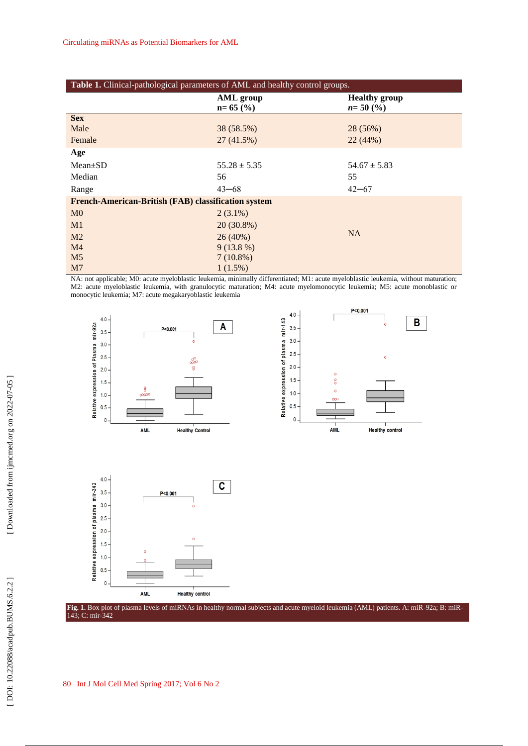I

| Table 1. Clinical-pathological parameters of AML and healthy control groups. |                                |                                      |  |  |  |  |
|------------------------------------------------------------------------------|--------------------------------|--------------------------------------|--|--|--|--|
|                                                                              | <b>AML</b> group<br>$n=65$ (%) | <b>Healthy group</b><br>$n = 50$ (%) |  |  |  |  |
| <b>Sex</b>                                                                   |                                |                                      |  |  |  |  |
| Male                                                                         | 38 (58.5%)                     | 28 (56%)                             |  |  |  |  |
| Female                                                                       | 27(41.5%)                      | 22(44%)                              |  |  |  |  |
| Age                                                                          |                                |                                      |  |  |  |  |
| $Mean \pm SD$                                                                | $55.28 \pm 5.35$               | $54.67 \pm 5.83$                     |  |  |  |  |
| Median                                                                       | 56                             | 55                                   |  |  |  |  |
| Range                                                                        | $43 - 68$                      | $42 - 67$                            |  |  |  |  |
| French-American-British (FAB) classification system                          |                                |                                      |  |  |  |  |
| M <sub>0</sub>                                                               | $2(3.1\%)$                     |                                      |  |  |  |  |
| M1                                                                           | $20(30.8\%)$                   |                                      |  |  |  |  |
| M <sub>2</sub>                                                               | 26(40%)                        | <b>NA</b>                            |  |  |  |  |
| M <sub>4</sub>                                                               | $9(13.8\%)$                    |                                      |  |  |  |  |
| M <sub>5</sub>                                                               | $7(10.8\%)$                    |                                      |  |  |  |  |
| M <sub>7</sub>                                                               | $1(1.5\%)$                     |                                      |  |  |  |  |

NA: not applicable; M0: acute myeloblastic leukemia, minimally differentiated; M1: acute myeloblastic leukemia, without maturation; M2: acute myeloblastic leukemia, with granulocytic maturation; M4: acute myelomonocytic leukemia; M5: acute monoblastic or monocytic leukemia; M7: acute megakaryoblastic leukemia







Fig. 1. Box plot of plasma levels of miRNAs in healthy normal subjects and acute myeloid leukemia (AML) patients. A: miR-92a; B: miR-143; C: mir -342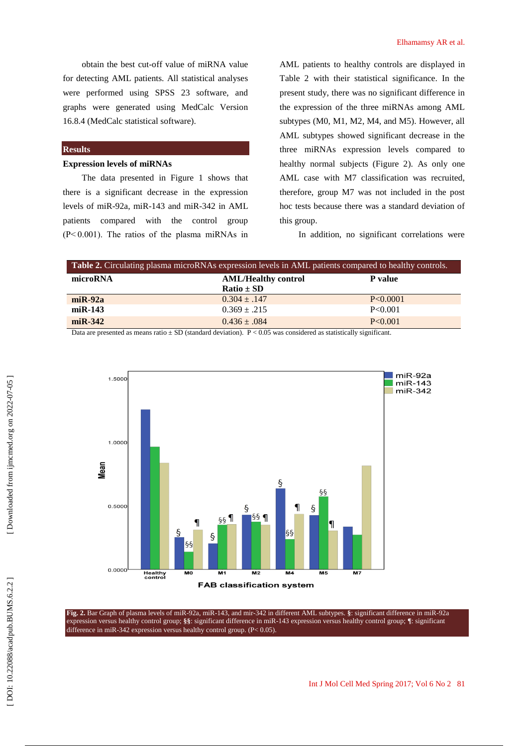obtain the best cut -off value of miRNA value for detecting AML patients. All statistical analyses were performed using SPSS 23 software, and graphs were generated using MedCalc Version 16.8.4 (MedCalc statistical software).

# **Results**

### **Expression levels of miRNAs**

The data presented in Figure 1 shows that there is a significant decrease in the expression levels of miR -92a, miR -143 and miR -342 in AML patients compared with the control group  $(P< 0.001)$ . The ratios of the plasma miRNAs in

AML patients to healthy controls are displayed in Table 2 with their statistical significance. In the present study, there was no significant difference in the expression of the three miRNAs among AML subtypes (M0, M1, M2, M4, and M5). However, all AML subtypes showed significant decrease in the three miRNAs expression levels compared to healthy normal subjects (Figure 2). As only one AML case with M7 classification was recruited, therefore, group M7 was not included in the post hoc tests because there was a standard deviation of this group.

In addition, no significant correlations were

| <b>Table 2.</b> Circulating plasma microRNAs expression levels in AML patients compared to healthy controls. |                            |                |  |  |  |
|--------------------------------------------------------------------------------------------------------------|----------------------------|----------------|--|--|--|
| microRNA                                                                                                     | <b>AML/Healthy control</b> | <b>P</b> value |  |  |  |
|                                                                                                              | $Ratio \pm SD$             |                |  |  |  |
| $miR-92a$                                                                                                    | $0.304 \pm .147$           | P<0.0001       |  |  |  |
| $miR-143$                                                                                                    | $0.369 \pm .215$           | P<0.001        |  |  |  |
| $miR-342$                                                                                                    | $0.436 \pm .084$           | P < 0.001      |  |  |  |

Data are presented as means ratio ± SD (standard deviation). P < 0.05 was considered as statistically significant.



Fig. 2. Bar Graph of plasma levels of miR-92a, miR-143, and mir-342 in different AML subtypes. §: significant difference in miR-92a expression versus healthy control group; **§§**: significant difference in miR -143 expression versus healthy control group; **¶**: significant difference in miR -342 expression versus healthy control group. (P< 0.05).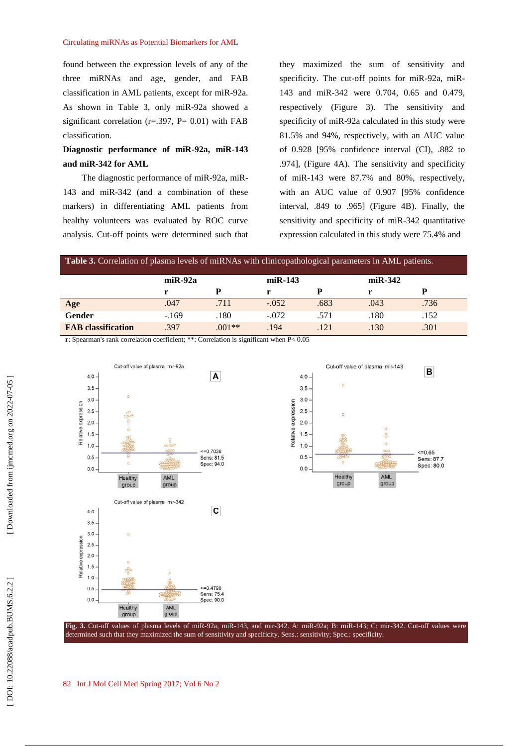### Circulating miRNAs as Potential Biomarkers for AML

found between the expression levels of any of the three miRNAs and age, gender, and FAB classification in AML patients, except for miR -92a. As shown in Table 3, only miR -92a showed a significant correlation ( $r = .397$ ,  $P = 0.01$ ) with FAB classification.

# **Diagnostic performance of miR -92a, miR -143 and miR -342 for AML**

The diagnostic performance of miR-92a, miR-143 and miR -342 (and a combination of these markers) in differentiating AML patients from healthy volunteers was evaluated by ROC curve analysis. Cut -off points were determined such that

they maximized the sum of sensitivity and specificity. The cut-off points for miR-92a, miR-143 and miR -342 were 0.704, 0.65 and 0.479, respectively (Figure 3). The sensitivity and specificity of miR -92a calculated in this study were 81.5% and 94%, respectively, with an AUC value of 0.928 [95% confidence interval (CI), .882 to .974], (Figure 4A). The sensitivity and specificity of miR -143 were 87.7% and 80%, respectively, with an AUC value of 0.907 [95% confidence interval, .849 to .965] (Figure 4B). Finally, the sensitivity and specificity of miR -342 quantitative expression calculated in this study were 75.4% and

| <b>Table 3.</b> Correlation of plasma levels of miRNAs with clinicopathological parameters in AML patients. |           |          |         |                |      |                |  |  |  |  |
|-------------------------------------------------------------------------------------------------------------|-----------|----------|---------|----------------|------|----------------|--|--|--|--|
|                                                                                                             | $miR-92a$ |          |         | $m$ i R $-143$ |      | $m$ i R $-342$ |  |  |  |  |
|                                                                                                             |           | D        | r       | D              |      |                |  |  |  |  |
| Age                                                                                                         | .047      | .711     | $-.052$ | .683           | .043 | .736           |  |  |  |  |
| Gender                                                                                                      | $-169$    | .180     | $-.072$ | .571           | .180 | .152           |  |  |  |  |
| <b>FAB</b> classification                                                                                   | .397      | $.001**$ | .194    | .121           | .130 | .301           |  |  |  |  |

**r**: Spearman's rank correlation coefficient; \*\*: Correlation is significant when P< 0.05



### 82 Int J Mo l Cell Med Spring 201 7; Vol 6 No 2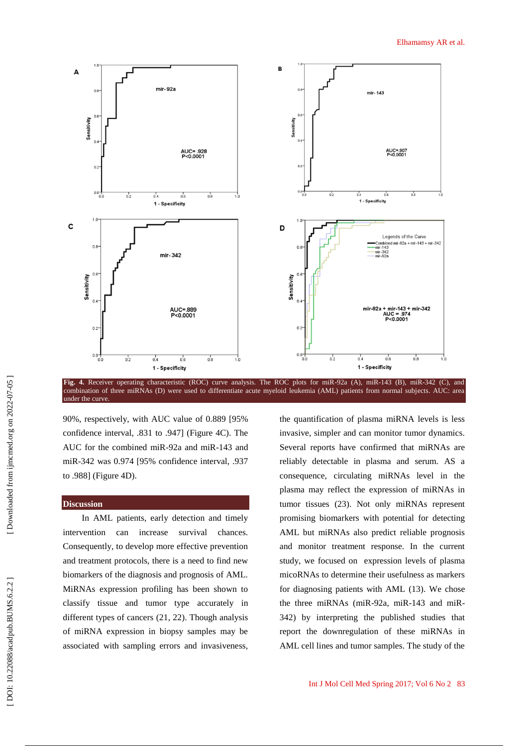

Fig. 4. Receiver operating characteristic (ROC) curve analysis. The ROC plots for miR-92a (A), miR-143 (B), miR-342 (C), and combination of three miRNAs (D) were used to differentiate acute myeloid leukemia (AML) patients from normal subjects. AUC: area under the curve

90%, respectively, with AUC value of 0.889 [95% confidence interval, .831 to .947] (Figure 4C). The AUC for the combined miR -92a and miR -143 and miR -342 was 0.974 [95% confidence interval, .937 to .988] (Figure 4D).

## **Discussion**

In AML patients, early detection and timely intervention can increase survival chances. Consequently, to develop more effective prevention and treatment protocols, there is a need to find new biomarkers of the diagnosis and prognosis of AML. MiRNAs expression profiling has been shown to classify tissue and tumor type accurately in different types of cancers (21, 22). Though analysis of miRNA expression in biopsy samples may be associated with sampling errors and invasiveness,

the quantification of plasma miRNA levels is less invasive, simpler and can monitor tumor dynamics. Several reports have confirmed that miRNAs are reliably detectable in plasma and serum. AS a conse quence, circulating miRNAs level in the plasma may reflect the expression of miRNAs in tumor tissues (23). Not only miRNAs represent promising biomarkers with potential for detecting AML but miRNAs also predict reliable prognosis and monitor treatment response. In the current study, we focused on expression levels of plasma micoRNAs to determine their usefulness as markers for diagnosing patients with AML (13). We chose the three miRNAs (miR-92a, miR-143 and miR-342) by interpreting the published studies that report the downregulation of these miRNAs in AML cell lines and tumor samples. The study of the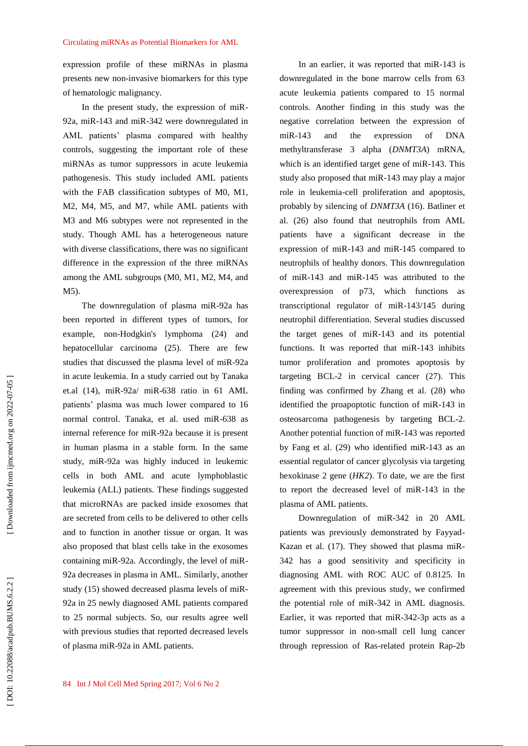expression profile of these miRNAs in plasma presents new non -invasive biomarkers for this type of hematologic malignancy.

In the present study, the expression of miR - 92a, miR -143 and miR -342 were downregulated in AML patients' plasma compared with healthy controls, suggesting the important role of these miRNAs as tumor suppressors in acute leukemia pathogenesis. This study included AML patients with the FAB classification subtypes of M0, M1, M2, M4, M5, and M7, while AML patients with M3 and M6 subtypes were not represented in the study. Though AML has a heterogeneous nature with diverse classifications, there was no significant difference in the expression of the three miRNAs among the AML subgroups (M0, M1, M2, M4, and M5).

The downregulation of plasma miR -92a has been reported in different types of tumors, for example, non -Hodgkin's lymphoma (24) and hepatocellular carcinoma (25). There are few studies that discussed the plasma level of miR -92a in acute leukemia. In a study carried out by Tanaka et.al (14), miR -92a/ miR -638 ratio in 61 AML patients' plasma was much lower compared to 16 normal control. Tanaka, et al. used miR -638 as internal reference for miR -92a because it is present in human plasma in a stable form. In the same study, miR -92a was highly induced in leukemic cells in both AML and acute lymphoblastic leukemia (ALL) patients. These findings suggested that microRNAs are packed inside exosomes that are secreted from cells to be delivered to other cells and to function in another tissue or organ. It was also proposed that blast cells take in the exosomes containing miR - 92a. Accordingly, the level of miR - 92a decreases in plasma in AML. Similarly, another study (15) showed decreased plasma levels of miR - 92a in 25 newly diagnosed AML patients compared to 25 normal subjects. So, our results agree well with previous studies that reported decreased levels of plasma miR -92a in AML patients.

In an earlier, it was reported that miR -143 is downregulated in the bone marrow cells from 63 acute leukemia patients compared to 15 normal controls. Another finding in this study was the negative correlation between the expression of miR-143 and the expression of DNA methyltransferase 3 alpha (*DNMT3A*) mRNA, which is an identified target gene of miR-143. This study also proposed that miR -143 may play a major role in leukemia -cell proliferation and apoptosis, probably by silencing of *DNMT3A* (16). Batliner et al. (26) also found that neutrophils from AML patients have a significant decrease in the expression of miR -143 and miR -145 compared to neutrophils of healthy donors. This downregulation of miR -143 and miR -145 was attributed to the overexpression of p73, which functions as transcriptional regulator of miR -143/145 during neutrophil differentiation. Several studies discussed the target genes of miR -143 and its potential functions. It was reported that miR-143 inhibits tumor proliferation and promotes apoptosis by targeting BCL -2 in cervical cancer (27). This finding was confirmed by Zhang et al. (28) who identified the proapoptotic function of miR -143 in osteosarcoma pathogenesis by targeting BCL -2. Another potential function of miR -143 was reported by Fang et al. (29) who identified miR -143 as an essential regulator of cancer glycolysis via targeting hexokinase 2 gene (*HK2*). To date, we are the first to report the decreased level of miR -143 in the plasma of AML patients.

Downregulation of miR -342 in 20 AML patients was previously demonstrated by Fayyad - Kazan et al. (17). They showed that plasma miR - 342 has a good sensitivity and specificity in diagnosing AML with ROC AUC of 0.8125. In agreement with this previous study, we confirmed the potential role of miR -342 in AML diagnosis. Earlier, it was reported that miR -342 -3p acts as a tumor suppressor in non -small cell lung cancer through repression of Ras -related protein Rap -2b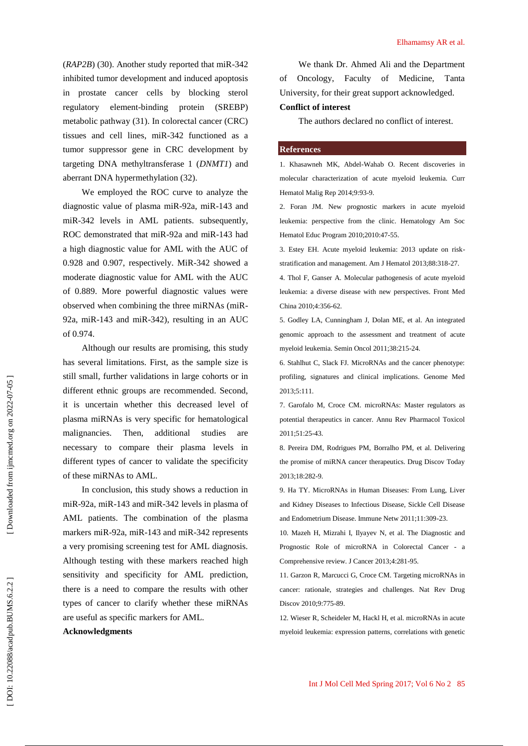(*RAP2B*) (30). Another study reported that miR -342 inhibited tumor development and induced apoptosis in prostate cancer cells by blocking sterol regulatory element -binding protein (SREBP) metabolic pathway (31). In colorectal cancer (CRC) tissues and cell lines, miR -342 functioned as a tumor suppressor gene in CRC development by targeting DNA methyltransferase 1 (*DNMT1*) and aberrant DNA hypermethylation (32) .

We employed the ROC curve to analyze the diagnostic value of plasma miR -92a, miR -143 and miR -342 levels in AML patients. subsequently, ROC demonstrated that miR-92a and miR-143 had a high diagnostic value for AML with the AUC of 0.928 and 0.907, respectively. MiR -342 showed a moderate diagnostic value for AML with the AUC of 0.889. More powerful diagnostic values were observed when combining the three miRNAs (miR - 92a, miR -143 and miR -342), resulting in an AUC of 0.974.

Although our results are promising, this study has several limitations. First, as the sample size is still small, further validations in large cohorts or in different ethnic groups are recommended. Second, it is uncertain whether this decreased level of plasma miRNAs is very specific for hematological malignancies. Then, additional studies necessary to compare their plasma levels in different types of cancer to validate the specificity of these miRNAs to AML.

In conclusion, this study shows a reduction in miR -92a, miR -143 and miR -342 levels in plasma of AML patients. The combination of the plasma markers miR-92a, miR-143 and miR-342 represents a very promising screening test for AML diagnosis. Although testing with these markers reached high sensitivity and specificity for AML prediction, there is a need to compare the results with other types of cancer to clarify whether these miRNAs are useful as specific markers for AML.

### **Acknowledgments**

We thank Dr. Ahmed Ali and the Department of Oncology, Faculty of Medicine, Tanta University, for their great support acknowledged.

### **Conflict of interest**

The authors declare d no conflict of interest.

### **References**

1. Khasawneh MK, Abdel -Wahab O. Recent discoveries in molecular characterization of acute myeloid leukemia. Curr Hematol Malig Rep 2014;9:93 -9.

2. Foran JM. New prognostic markers in acute myeloid leukemia: perspective from the clinic. Hematology Am Soc Hematol Educ Program 2010;2010:47 -55.

3. Estey EH. Acute myeloid leukemia: 2013 update on risk stratification and management. Am J Hematol 2013;88:318 -27.

4. Thol F, Ganser A. Molecular pathogenesis of acute myeloid leukemia: a diverse disease with new perspectives. Front Med China 2010;4:356 -62.

5. Godley LA, Cunningham J, Dolan ME, et al. An integrated genomic approach to the assessment and treatment of acute myeloid leukemia. Semin Oncol 2011;38:215 -24.

6. Stahlhut C, Slack FJ. MicroRNAs and the cancer phenotype: profiling, signatures and clinical implications. Genome Med 2013;5:111.

7. Garofalo M, Croce CM. microRNAs: Master regulators as potential therapeutics in cancer. Annu Rev Pharmacol Toxicol 2011;51:25 -43.

8. Pereira DM, Rodrigues PM, Borralho PM, et al. Delivering the promise of miRNA cancer therapeutics. Drug Discov Today 2013;18:282 -9.

9. Ha TY. MicroRNAs in Human Diseases: From Lung, Liver and Kidney Diseases to Infectious Disease, Sickle Cell Disease and Endometrium Disease. Immune Netw 2011;11:309 -23.

10. Mazeh H, Mizrahi I, Ilyayev N, et al. The Diagnostic and Prognostic Role of microRNA in Colorectal Cancer - a Comprehensive review. J Cancer 2013;4:281 -95.

11. Garzon R, Marcucci G, Croce CM. Targeting microRNAs in cancer: rationale, strategies and challenges. Nat Rev Drug Discov 2010;9:775 -89.

12. Wieser R, Scheideler M, Hackl H, et al. microRNAs in acute myeloid leukemia: expression patterns, correlations with genetic